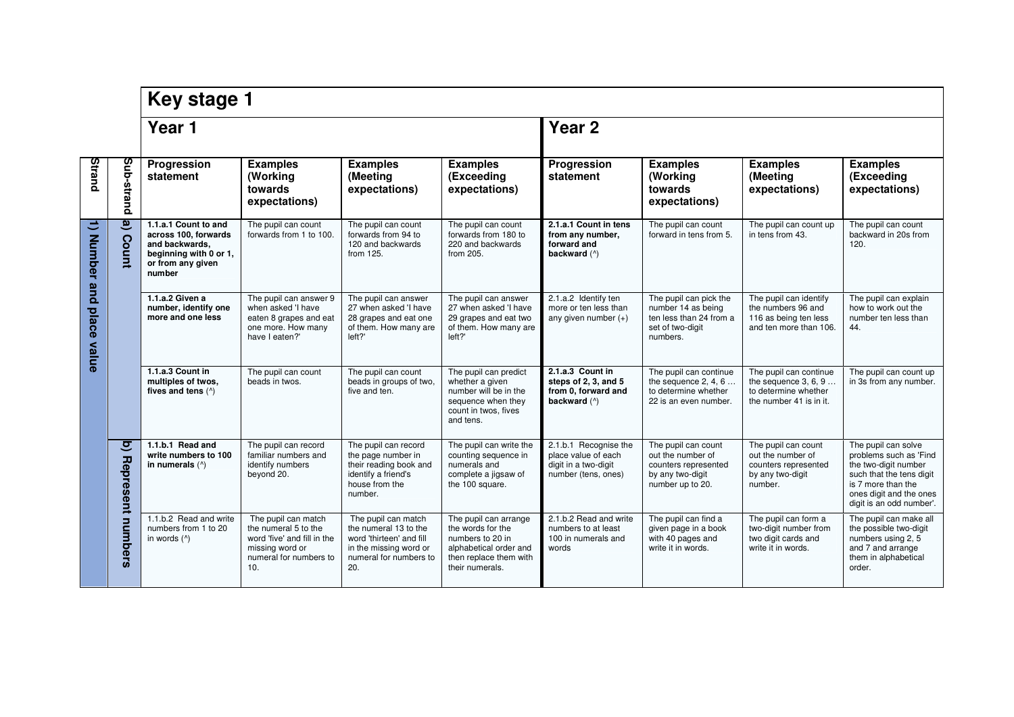|                              |                                      | <b>Key stage 1</b>                                                                                                      |                                                                                                                                |                                                                                                                                     |                                                                                                                                       |                                                                                             |                                                                                                          |                                                                                                     |                                                                                                                                                                                |  |
|------------------------------|--------------------------------------|-------------------------------------------------------------------------------------------------------------------------|--------------------------------------------------------------------------------------------------------------------------------|-------------------------------------------------------------------------------------------------------------------------------------|---------------------------------------------------------------------------------------------------------------------------------------|---------------------------------------------------------------------------------------------|----------------------------------------------------------------------------------------------------------|-----------------------------------------------------------------------------------------------------|--------------------------------------------------------------------------------------------------------------------------------------------------------------------------------|--|
|                              |                                      | Year 1                                                                                                                  |                                                                                                                                |                                                                                                                                     |                                                                                                                                       | Year <sub>2</sub>                                                                           |                                                                                                          |                                                                                                     |                                                                                                                                                                                |  |
| Strand                       | Sub-strand                           | Progression<br>statement                                                                                                | <b>Examples</b><br>(Working<br>towards<br>expectations)                                                                        | <b>Examples</b><br>(Meeting<br>expectations)                                                                                        | <b>Examples</b><br>(Exceeding<br>expectations)                                                                                        | Progression<br>statement                                                                    | <b>Examples</b><br>(Working<br>towards<br>expectations)                                                  | <b>Examples</b><br>(Meeting<br>expectations)                                                        | <b>Examples</b><br>(Exceeding<br>expectations)                                                                                                                                 |  |
| 1) Number and<br>place value | e)<br>Count                          | 1.1.a.1 Count to and<br>across 100, forwards<br>and backwards,<br>beginning with 0 or 1,<br>or from any given<br>number | The pupil can count<br>forwards from 1 to 100.                                                                                 | The pupil can count<br>forwards from 94 to<br>120 and backwards<br>from 125.                                                        | The pupil can count<br>forwards from 180 to<br>220 and backwards<br>from 205.                                                         | 2.1.a.1 Count in tens<br>from any number,<br>forward and<br>backward (^)                    | The pupil can count<br>forward in tens from 5.                                                           | The pupil can count up<br>in tens from 43.                                                          | The pupil can count<br>backward in 20s from<br>120.                                                                                                                            |  |
|                              |                                      | 1.1.a.2 Given a<br>number, identify one<br>more and one less                                                            | The pupil can answer 9<br>when asked 'I have<br>eaten 8 grapes and eat<br>one more. How many<br>have I eaten?'                 | The pupil can answer<br>27 when asked 'I have<br>28 grapes and eat one<br>of them. How many are<br>left?'                           | The pupil can answer<br>27 when asked 'I have<br>29 grapes and eat two<br>of them. How many are<br>left?'                             | 2.1.a.2 Identify ten<br>more or ten less than<br>any given number $(+)$                     | The pupil can pick the<br>number 14 as being<br>ten less than 24 from a<br>set of two-digit<br>numbers.  | The pupil can identify<br>the numbers 96 and<br>116 as being ten less<br>and ten more than 106.     | The pupil can explain<br>how to work out the<br>number ten less than<br>44.                                                                                                    |  |
|                              |                                      | 1.1.a.3 Count in<br>multiples of twos,<br>fives and tens (^)                                                            | The pupil can count<br>beads in twos.                                                                                          | The pupil can count<br>beads in groups of two.<br>five and ten.                                                                     | The pupil can predict<br>whether a given<br>number will be in the<br>sequence when they<br>count in twos, fives<br>and tens.          | 2.1.a.3 Count in<br>steps of 2, 3, and 5<br>from 0, forward and<br>backward (^)             | The pupil can continue<br>the sequence $2, 4, 6$<br>to determine whether<br>22 is an even number.        | The pupil can continue<br>the sequence $3, 6, 9$<br>to determine whether<br>the number 41 is in it. | The pupil can count up<br>in 3s from any number.                                                                                                                               |  |
|                              | $\overline{\mathbf{q}}$<br>Represent | 1.1.b.1 Read and<br>write numbers to 100<br>in numerals (^)                                                             | The pupil can record<br>familiar numbers and<br>identify numbers<br>beyond 20.                                                 | The pupil can record<br>the page number in<br>their reading book and<br>identify a friend's<br>house from the<br>number.            | The pupil can write the<br>counting sequence in<br>numerals and<br>complete a jigsaw of<br>the 100 square.                            | 2.1.b.1 Recognise the<br>place value of each<br>digit in a two-digit<br>number (tens, ones) | The pupil can count<br>out the number of<br>counters represented<br>by any two-digit<br>number up to 20. | The pupil can count<br>out the number of<br>counters represented<br>by any two-digit<br>number.     | The pupil can solve<br>problems such as 'Find<br>the two-digit number<br>such that the tens digit<br>is 7 more than the<br>ones digit and the ones<br>digit is an odd number'. |  |
|                              | numbers                              | 1.1.b.2 Read and write<br>numbers from 1 to 20<br>in words $($ <sup><math>\land</math></sup> )                          | The pupil can match<br>the numeral 5 to the<br>word 'five' and fill in the<br>missing word or<br>numeral for numbers to<br>10. | The pupil can match<br>the numeral 13 to the<br>word 'thirteen' and fill<br>in the missing word or<br>numeral for numbers to<br>20. | The pupil can arrange<br>the words for the<br>numbers to 20 in<br>alphabetical order and<br>then replace them with<br>their numerals. | 2.1.b.2 Read and write<br>numbers to at least<br>100 in numerals and<br>words               | The pupil can find a<br>given page in a book<br>with 40 pages and<br>write it in words.                  | The pupil can form a<br>two-digit number from<br>two digit cards and<br>write it in words.          | The pupil can make all<br>the possible two-digit<br>numbers using 2, 5<br>and 7 and arrange<br>them in alphabetical<br>order.                                                  |  |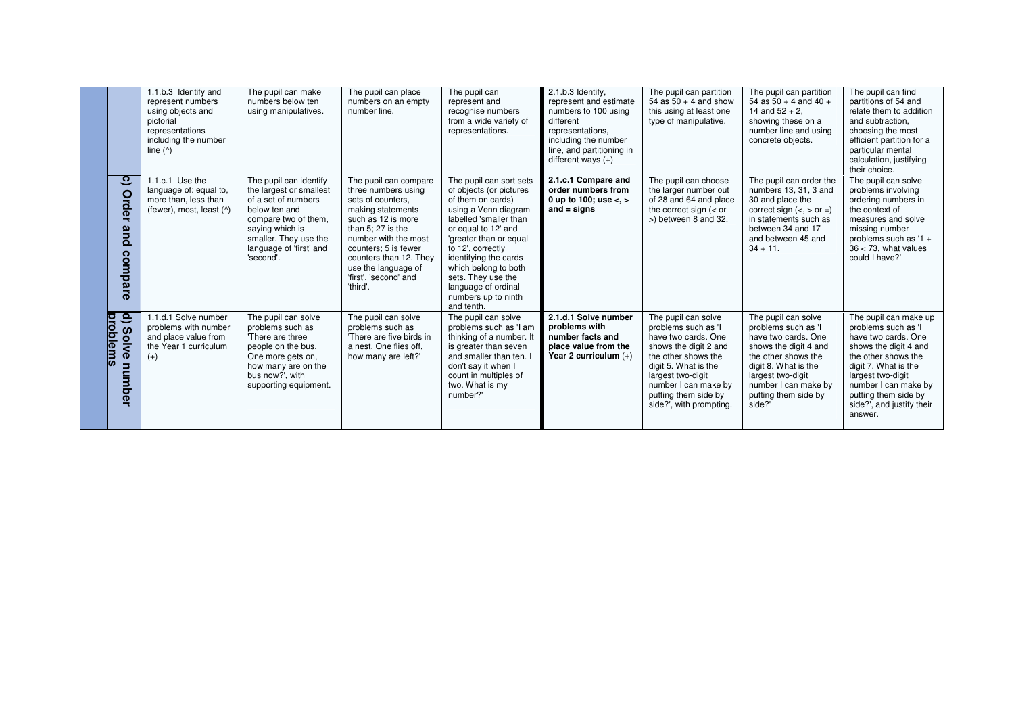|                                                | 1.1.b.3 Identify and<br>represent numbers<br>using objects and<br>pictorial<br>representations<br>including the number<br>line $(^{\wedge})$ | The pupil can make<br>numbers below ten<br>using manipulatives.                                                                                                                                       | The pupil can place<br>numbers on an empty<br>number line.                                                                                                                                                                                                               | The pupil can<br>represent and<br>recognise numbers<br>from a wide variety of<br>representations.                                                                                                                                                                                                                                  | 2.1.b.3 Identify,<br>represent and estimate<br>numbers to 100 using<br>different<br>representations,<br>including the number<br>line, and partitioning in<br>different ways $(+)$ | The pupil can partition<br>54 as $50 + 4$ and show<br>this using at least one<br>type of manipulative.                                                                                                                                    | The pupil can partition<br>54 as $50 + 4$ and $40 +$<br>14 and $52 + 2$ .<br>showing these on a<br>number line and using<br>concrete objects.                                                                            | The pupil can find<br>partitions of 54 and<br>relate them to addition<br>and subtraction.<br>choosing the most<br>efficient partition for a<br>particular mental<br>calculation, justifying<br>their choice.                                             |
|------------------------------------------------|----------------------------------------------------------------------------------------------------------------------------------------------|-------------------------------------------------------------------------------------------------------------------------------------------------------------------------------------------------------|--------------------------------------------------------------------------------------------------------------------------------------------------------------------------------------------------------------------------------------------------------------------------|------------------------------------------------------------------------------------------------------------------------------------------------------------------------------------------------------------------------------------------------------------------------------------------------------------------------------------|-----------------------------------------------------------------------------------------------------------------------------------------------------------------------------------|-------------------------------------------------------------------------------------------------------------------------------------------------------------------------------------------------------------------------------------------|--------------------------------------------------------------------------------------------------------------------------------------------------------------------------------------------------------------------------|----------------------------------------------------------------------------------------------------------------------------------------------------------------------------------------------------------------------------------------------------------|
| ್ರ<br>Order<br>pue<br>compare                  | 1.1.c.1 Use the<br>language of: equal to,<br>more than, less than<br>(fewer), most, least (^)                                                | The pupil can identify<br>the largest or smallest<br>of a set of numbers<br>below ten and<br>compare two of them.<br>saying which is<br>smaller. They use the<br>language of 'first' and<br>'second'. | The pupil can compare<br>three numbers using<br>sets of counters.<br>making statements<br>such as 12 is more<br>than $5:27$ is the<br>number with the most<br>counters; 5 is fewer<br>counters than 12. They<br>use the language of<br>'first', 'second' and<br>'third'. | The pupil can sort sets<br>of objects (or pictures<br>of them on cards)<br>using a Venn diagram<br>labelled 'smaller than<br>or equal to 12' and<br>'greater than or equal<br>to 12', correctly<br>identifying the cards<br>which belong to both<br>sets. They use the<br>language of ordinal<br>numbers up to ninth<br>and tenth. | 2.1.c.1 Compare and<br>order numbers from<br>0 up to 100; use $<,>$<br>and $=$ signs                                                                                              | The pupil can choose<br>the larger number out<br>of 28 and 64 and place<br>the correct sign $(<$ or<br>>) between 8 and 32.                                                                                                               | The pupil can order the<br>numbers 13, 31, 3 and<br>30 and place the<br>correct sign $(<, >$ or $=$ )<br>in statements such as<br>between 34 and 17<br>and between 45 and<br>$34 + 11$ .                                 | The pupil can solve<br>problems involving<br>ordering numbers in<br>the context of<br>measures and solve<br>missing number<br>problems such as '1 +<br>$36 < 73$ , what values<br>could I have?'                                                         |
| ٩<br><u>problems</u><br><b>Solve</b><br>number | 1.1.d.1 Solve number<br>problems with number<br>and place value from<br>the Year 1 curriculum<br>$(+)$                                       | The pupil can solve<br>problems such as<br>'There are three<br>people on the bus.<br>One more gets on,<br>how many are on the<br>bus now?', with<br>supporting equipment.                             | The pupil can solve<br>problems such as<br>'There are five birds in<br>a nest. One flies off,<br>how many are left?'                                                                                                                                                     | The pupil can solve<br>problems such as 'I am<br>thinking of a number. It<br>is greater than seven<br>and smaller than ten. I<br>don't say it when I<br>count in multiples of<br>two. What is my<br>number?'                                                                                                                       | 2.1.d.1 Solve number<br>problems with<br>number facts and<br>place value from the<br>Year 2 curriculum $(+)$                                                                      | The pupil can solve<br>problems such as 'I<br>have two cards. One<br>shows the digit 2 and<br>the other shows the<br>digit 5. What is the<br>largest two-digit<br>number I can make by<br>putting them side by<br>side?', with prompting. | The pupil can solve<br>problems such as 'I<br>have two cards. One<br>shows the digit 4 and<br>the other shows the<br>digit 8. What is the<br>largest two-digit<br>number I can make by<br>putting them side by<br>side?' | The pupil can make up<br>problems such as 'I<br>have two cards. One<br>shows the digit 4 and<br>the other shows the<br>digit 7. What is the<br>largest two-digit<br>number I can make by<br>putting them side by<br>side?', and justify their<br>answer. |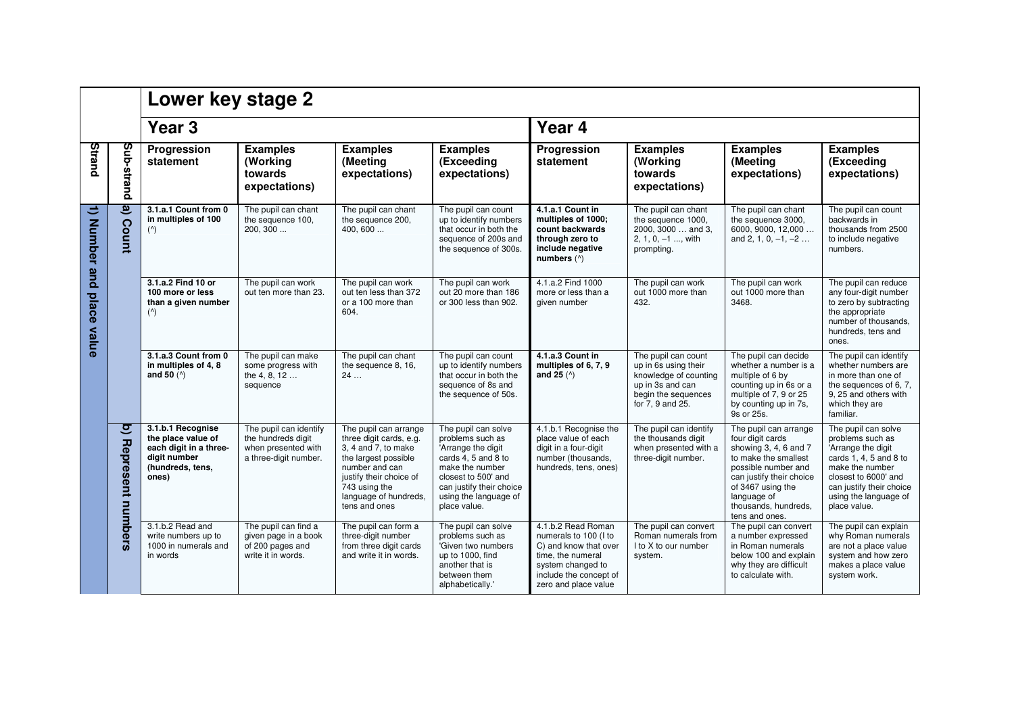|                               |                               | Lower key stage 2                                                                                              |                                                                                              |                                                                                                                                                                                                         |                                                                                                                                                                                                     |                                                                                                                                                                  |                                                                                                                                     |                                                                                                                                                                                                                             |                                                                                                                                                                                                         |  |  |
|-------------------------------|-------------------------------|----------------------------------------------------------------------------------------------------------------|----------------------------------------------------------------------------------------------|---------------------------------------------------------------------------------------------------------------------------------------------------------------------------------------------------------|-----------------------------------------------------------------------------------------------------------------------------------------------------------------------------------------------------|------------------------------------------------------------------------------------------------------------------------------------------------------------------|-------------------------------------------------------------------------------------------------------------------------------------|-----------------------------------------------------------------------------------------------------------------------------------------------------------------------------------------------------------------------------|---------------------------------------------------------------------------------------------------------------------------------------------------------------------------------------------------------|--|--|
|                               |                               | Year <sub>3</sub>                                                                                              |                                                                                              |                                                                                                                                                                                                         |                                                                                                                                                                                                     |                                                                                                                                                                  | Year 4                                                                                                                              |                                                                                                                                                                                                                             |                                                                                                                                                                                                         |  |  |
| Strand                        | bup-strand                    | Progression<br>statement                                                                                       | <b>Examples</b><br>(Working<br>towards<br>expectations)                                      | <b>Examples</b><br>(Meeting<br>expectations)                                                                                                                                                            | <b>Examples</b><br>(Exceeding<br>expectations)                                                                                                                                                      | Progression<br>statement                                                                                                                                         | <b>Examples</b><br>(Working<br>towards<br>expectations)                                                                             | <b>Examples</b><br>(Meeting<br>expectations)                                                                                                                                                                                | <b>Examples</b><br>(Exceeding<br>expectations)                                                                                                                                                          |  |  |
| $\mathbf{u}$<br>Number<br>and | ತಿ<br><b>Count</b>            | 3.1.a.1 Count from 0<br>in multiples of 100<br>$($ <sup><math>\wedge</math></sup> )                            | The pupil can chant<br>the sequence 100.<br>200, 300                                         | The pupil can chant<br>the sequence 200,<br>400.600                                                                                                                                                     | The pupil can count<br>up to identify numbers<br>that occur in both the<br>sequence of 200s and<br>the sequence of 300s.                                                                            | 4.1.a.1 Count in<br>multiples of 1000;<br>count backwards<br>through zero to<br>include negative<br>numbers (^)                                                  | The pupil can chant<br>the sequence 1000,<br>2000, 3000  and 3.<br>2, 1, 0, $-1$ , with<br>prompting.                               | The pupil can chant<br>the sequence 3000,<br>6000, 9000, 12,000<br>and 2, 1, 0, $-1$ , $-2$                                                                                                                                 | The pupil can count<br>backwards in<br>thousands from 2500<br>to include negative<br>numbers.                                                                                                           |  |  |
| place<br>value                |                               | 3.1.a.2 Find 10 or<br>100 more or less<br>than a given number<br>$($ <sup><math>\wedge</math></sup> )          | The pupil can work<br>out ten more than 23.                                                  | The pupil can work<br>out ten less than 372<br>or a 100 more than<br>604.                                                                                                                               | The pupil can work<br>out 20 more than 186<br>or 300 less than 902.                                                                                                                                 | 4.1.a.2 Find 1000<br>more or less than a<br>given number                                                                                                         | The pupil can work<br>out 1000 more than<br>432.                                                                                    | The pupil can work<br>out 1000 more than<br>3468.                                                                                                                                                                           | The pupil can reduce<br>any four-digit number<br>to zero by subtracting<br>the appropriate<br>number of thousands,<br>hundreds, tens and<br>ones.                                                       |  |  |
|                               |                               | 3.1.a.3 Count from 0<br>in multiples of 4, 8<br>and 50 $(^\wedge)$                                             | The pupil can make<br>some progress with<br>the 4, 8, 12<br>sequence                         | The pupil can chant<br>the sequence 8, 16,<br>24                                                                                                                                                        | The pupil can count<br>up to identify numbers<br>that occur in both the<br>sequence of 8s and<br>the sequence of 50s.                                                                               | 4.1.a.3 Count in<br>multiples of 6, 7, 9<br>and 25 $(^{\wedge})$                                                                                                 | The pupil can count<br>up in 6s using their<br>knowledge of counting<br>up in 3s and can<br>begin the sequences<br>for 7, 9 and 25. | The pupil can decide<br>whether a number is a<br>multiple of 6 by<br>counting up in 6s or a<br>multiple of 7, 9 or 25<br>by counting up in 7s,<br>9s or 25s.                                                                | The pupil can identify<br>whether numbers are<br>in more than one of<br>the sequences of 6, 7,<br>9. 25 and others with<br>which they are<br>familiar.                                                  |  |  |
|                               | <u>प</u><br>Represent numbers | 3.1.b.1 Recognise<br>the place value of<br>each digit in a three-<br>digit number<br>(hundreds, tens,<br>ones) | The pupil can identify<br>the hundreds digit<br>when presented with<br>a three-digit number. | The pupil can arrange<br>three digit cards, e.g.<br>3, 4 and 7, to make<br>the largest possible<br>number and can<br>justify their choice of<br>743 using the<br>language of hundreds,<br>tens and ones | The pupil can solve<br>problems such as<br>'Arrange the digit<br>cards 4, 5 and 8 to<br>make the number<br>closest to 500' and<br>can justify their choice<br>using the language of<br>place value. | 4.1.b.1 Recognise the<br>place value of each<br>digit in a four-digit<br>number (thousands,<br>hundreds, tens, ones)                                             | The pupil can identify<br>the thousands digit<br>when presented with a<br>three-digit number.                                       | The pupil can arrange<br>four digit cards<br>showing 3, 4, 6 and 7<br>to make the smallest<br>possible number and<br>can justify their choice<br>of 3467 using the<br>language of<br>thousands, hundreds,<br>tens and ones. | The pupil can solve<br>problems such as<br>'Arrange the digit<br>cards 1, 4, 5 and 8 to<br>make the number<br>closest to 6000' and<br>can justify their choice<br>using the language of<br>place value. |  |  |
|                               |                               | 3.1.b.2 Read and<br>write numbers up to<br>1000 in numerals and<br>in words                                    | The pupil can find a<br>given page in a book<br>of 200 pages and<br>write it in words.       | The pupil can form a<br>three-digit number<br>from three digit cards<br>and write it in words.                                                                                                          | The pupil can solve<br>problems such as<br>'Given two numbers<br>up to 1000, find<br>another that is<br>between them<br>alphabetically.'                                                            | 4.1.b.2 Read Roman<br>numerals to 100 (I to<br>C) and know that over<br>time, the numeral<br>system changed to<br>include the concept of<br>zero and place value | The pupil can convert<br>Roman numerals from<br>I to X to our number<br>system.                                                     | The pupil can convert<br>a number expressed<br>in Roman numerals<br>below 100 and explain<br>why they are difficult<br>to calculate with.                                                                                   | The pupil can explain<br>why Roman numerals<br>are not a place value<br>system and how zero<br>makes a place value<br>system work.                                                                      |  |  |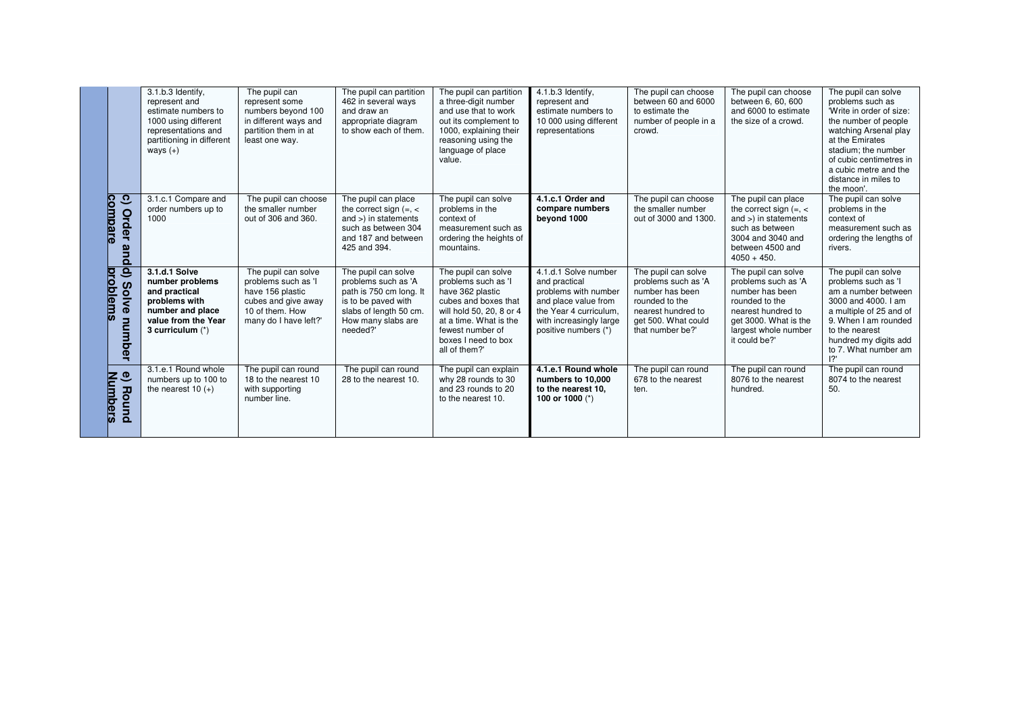|                                                                      | 3.1.b.3 Identify,<br>represent and<br>estimate numbers to<br>1000 using different<br>representations and<br>partitioning in different<br>ways $(+)$ | The pupil can<br>represent some<br>numbers bevond 100<br>in different ways and<br>partition them in at<br>least one way.          | The pupil can partition<br>462 in several ways<br>and draw an<br>appropriate diagram<br>to show each of them.                                            | The pupil can partition<br>a three-digit number<br>and use that to work<br>out its complement to<br>1000, explaining their<br>reasoning using the<br>language of place<br>value.                         | 4.1.b.3 Identify,<br>represent and<br>estimate numbers to<br>10 000 using different<br>representations                                                             | The pupil can choose<br>between 60 and 6000<br>to estimate the<br>number of people in a<br>crowd.                                                | The pupil can choose<br>between 6, 60, 600<br>and 6000 to estimate<br>the size of a crowd.                                                                              | The pupil can solve<br>problems such as<br>'Write in order of size:<br>the number of people<br>watching Arsenal play<br>at the Emirates<br>stadium; the number<br>of cubic centimetres in<br>a cubic metre and the<br>distance in miles to<br>the moon'. |
|----------------------------------------------------------------------|-----------------------------------------------------------------------------------------------------------------------------------------------------|-----------------------------------------------------------------------------------------------------------------------------------|----------------------------------------------------------------------------------------------------------------------------------------------------------|----------------------------------------------------------------------------------------------------------------------------------------------------------------------------------------------------------|--------------------------------------------------------------------------------------------------------------------------------------------------------------------|--------------------------------------------------------------------------------------------------------------------------------------------------|-------------------------------------------------------------------------------------------------------------------------------------------------------------------------|----------------------------------------------------------------------------------------------------------------------------------------------------------------------------------------------------------------------------------------------------------|
| ್ರ<br><u>ompare</u><br><b>Order</b><br>and                           | 3.1.c.1 Compare and<br>order numbers up to<br>1000                                                                                                  | The pupil can choose<br>the smaller number<br>out of 306 and 360.                                                                 | The pupil can place<br>the correct sign $(=, <$<br>and $>$ ) in statements<br>such as between 304<br>and 187 and between<br>425 and 394.                 | The pupil can solve<br>problems in the<br>context of<br>measurement such as<br>ordering the heights of<br>mountains.                                                                                     | 4.1.c.1 Order and<br>compare numbers<br>beyond 1000                                                                                                                | The pupil can choose<br>the smaller number<br>out of 3000 and 1300.                                                                              | The pupil can place<br>the correct sign $(=,$<br>and $>$ ) in statements<br>such as between<br>3004 and 3040 and<br>between 4500 and<br>$4050 + 450.$                   | The pupil can solve<br>problems in the<br>context of<br>measurement such as<br>ordering the lengths of<br>rivers.                                                                                                                                        |
| ु<br><b>propl</b><br>$\boldsymbol{\omega}$<br>olve<br>lems<br>number | 3.1.d.1 Solve<br>number problems<br>and practical<br>problems with<br>number and place<br>value from the Year<br>3 curriculum $(*)$                 | The pupil can solve<br>problems such as 'I<br>have 156 plastic<br>cubes and give away<br>10 of them. How<br>many do I have left?' | The pupil can solve<br>problems such as 'A<br>path is 750 cm long. It<br>is to be paved with<br>slabs of length 50 cm.<br>How many slabs are<br>needed?' | The pupil can solve<br>problems such as 'I<br>have 362 plastic<br>cubes and boxes that<br>will hold 50, 20, 8 or 4<br>at a time. What is the<br>fewest number of<br>boxes I need to box<br>all of them?' | 4.1.d.1 Solve number<br>and practical<br>problems with number<br>and place value from<br>the Year 4 curriculum.<br>with increasingly large<br>positive numbers (*) | The pupil can solve<br>problems such as 'A<br>number has been<br>rounded to the<br>nearest hundred to<br>get 500. What could<br>that number be?' | The pupil can solve<br>problems such as 'A<br>number has been<br>rounded to the<br>nearest hundred to<br>get 3000. What is the<br>largest whole number<br>it could be?' | The pupil can solve<br>problems such as 'I<br>am a number between<br>3000 and 4000. I am<br>a multiple of 25 and of<br>9. When I am rounded<br>to the nearest<br>hundred my digits add<br>to 7. What number am<br>12                                     |
| $\bullet$<br>E<br><u>mbers</u><br>Round                              | 3.1.e.1 Round whole<br>numbers up to 100 to<br>the nearest 10 $(+)$                                                                                 | The pupil can round<br>18 to the nearest 10<br>with supporting<br>number line.                                                    | The pupil can round<br>28 to the nearest 10.                                                                                                             | The pupil can explain<br>why 28 rounds to 30<br>and 23 rounds to 20<br>to the nearest 10.                                                                                                                | 4.1.e.1 Round whole<br>numbers to 10,000<br>to the nearest 10,<br>100 or 1000 (*)                                                                                  | The pupil can round<br>678 to the nearest<br>ten.                                                                                                | The pupil can round<br>8076 to the nearest<br>hundred.                                                                                                                  | The pupil can round<br>8074 to the nearest<br>50.                                                                                                                                                                                                        |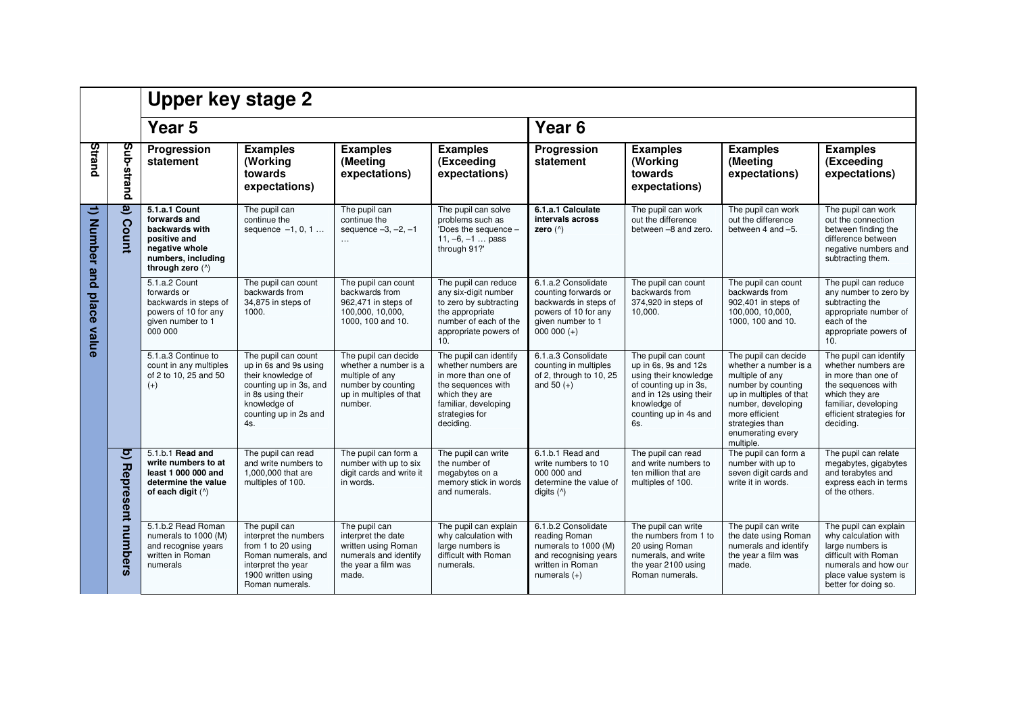|                       |                                              | <b>Upper key stage 2</b>                                                                                                    |                                                                                                                                                                   |                                                                                                                              |                                                                                                                                                                     |                                                                                                                                   |                                                                                                                                                                         |                                                                                                                                                                                                                |                                                                                                                                                                               |  |
|-----------------------|----------------------------------------------|-----------------------------------------------------------------------------------------------------------------------------|-------------------------------------------------------------------------------------------------------------------------------------------------------------------|------------------------------------------------------------------------------------------------------------------------------|---------------------------------------------------------------------------------------------------------------------------------------------------------------------|-----------------------------------------------------------------------------------------------------------------------------------|-------------------------------------------------------------------------------------------------------------------------------------------------------------------------|----------------------------------------------------------------------------------------------------------------------------------------------------------------------------------------------------------------|-------------------------------------------------------------------------------------------------------------------------------------------------------------------------------|--|
|                       |                                              | Year 5                                                                                                                      |                                                                                                                                                                   |                                                                                                                              |                                                                                                                                                                     | Year <sub>6</sub>                                                                                                                 |                                                                                                                                                                         |                                                                                                                                                                                                                |                                                                                                                                                                               |  |
| Strand                | pup-strand                                   | Progression<br>statement                                                                                                    | <b>Examples</b><br>(Working<br>towards<br>expectations)                                                                                                           | <b>Examples</b><br>(Meeting<br>expectations)                                                                                 | <b>Examples</b><br>(Exceeding<br>expectations)                                                                                                                      | Progression<br>statement                                                                                                          | <b>Examples</b><br>(Working<br>towards<br>expectations)                                                                                                                 | <b>Examples</b><br>(Meeting<br>expectations)                                                                                                                                                                   | <b>Examples</b><br>(Exceeding<br>expectations)                                                                                                                                |  |
| ਦ<br><b>Number</b>    | $\widehat{\mathbf{e}}$<br>Count              | 5.1.a.1 Count<br>forwards and<br>backwards with<br>positive and<br>negative whole<br>numbers, including<br>through zero (^) | The pupil can<br>continue the<br>sequence $-1, 0, 1$                                                                                                              | The pupil can<br>continue the<br>sequence $-3, -2, -1$<br>$\ddotsc$                                                          | The pupil can solve<br>problems such as<br>'Does the sequence -<br>$11, -6, -1$ pass<br>through 91?'                                                                | 6.1.a.1 Calculate<br>intervals across<br>zero $(^\wedge)$                                                                         | The pupil can work<br>out the difference<br>between -8 and zero.                                                                                                        | The pupil can work<br>out the difference<br>between 4 and -5.                                                                                                                                                  | The pupil can work<br>out the connection<br>between finding the<br>difference between<br>negative numbers and<br>subtracting them.                                            |  |
| and<br>place<br>value |                                              | 5.1.a.2 Count<br>forwards or<br>backwards in steps of<br>powers of 10 for any<br>given number to 1<br>000 000               | The pupil can count<br>backwards from<br>34,875 in steps of<br>1000.                                                                                              | The pupil can count<br>backwards from<br>962,471 in steps of<br>100,000, 10,000,<br>1000, 100 and 10.                        | The pupil can reduce<br>any six-digit number<br>to zero by subtracting<br>the appropriate<br>number of each of the<br>appropriate powers of<br>10.                  | 6.1.a.2 Consolidate<br>counting forwards or<br>backwards in steps of<br>powers of 10 for any<br>given number to 1<br>$000000 (+)$ | The pupil can count<br>backwards from<br>374,920 in steps of<br>10,000.                                                                                                 | The pupil can count<br>backwards from<br>902,401 in steps of<br>100,000, 10,000,<br>1000, 100 and 10.                                                                                                          | The pupil can reduce<br>any number to zero by<br>subtracting the<br>appropriate number of<br>each of the<br>appropriate powers of<br>10.                                      |  |
|                       |                                              | 5.1.a.3 Continue to<br>count in any multiples<br>of 2 to 10, 25 and 50<br>$(+)$                                             | The pupil can count<br>up in 6s and 9s using<br>their knowledge of<br>counting up in 3s, and<br>in 8s using their<br>knowledge of<br>counting up in 2s and<br>4s. | The pupil can decide<br>whether a number is a<br>multiple of any<br>number by counting<br>up in multiples of that<br>number. | The pupil can identify<br>whether numbers are<br>in more than one of<br>the sequences with<br>which they are<br>familiar, developing<br>strategies for<br>deciding. | 6.1.a.3 Consolidate<br>counting in multiples<br>of 2, through to 10, 25<br>and $50 (+)$                                           | The pupil can count<br>up in 6s, 9s and 12s<br>using their knowledge<br>of counting up in 3s.<br>and in 12s using their<br>knowledge of<br>counting up in 4s and<br>6s. | The pupil can decide<br>whether a number is a<br>multiple of any<br>number by counting<br>up in multiples of that<br>number, developing<br>more efficient<br>strategies than<br>enumerating every<br>multiple. | The pupil can identify<br>whether numbers are<br>in more than one of<br>the sequences with<br>which they are<br>familiar, developing<br>efficient strategies for<br>deciding. |  |
|                       | $\overline{\mathsf{c}}$<br>Represent numbers | 5.1.b.1 Read and<br>write numbers to at<br>least 1 000 000 and<br>determine the value<br>of each digit $(^{\wedge})$        | The pupil can read<br>and write numbers to<br>1,000,000 that are<br>multiples of 100.                                                                             | The pupil can form a<br>number with up to six<br>digit cards and write it<br>in words.                                       | The pupil can write<br>the number of<br>megabytes on a<br>memory stick in words<br>and numerals.                                                                    | 6.1.b.1 Read and<br>write numbers to 10<br>000 000 and<br>determine the value of<br>digits $(^{\wedge})$                          | The pupil can read<br>and write numbers to<br>ten million that are<br>multiples of 100.                                                                                 | The pupil can form a<br>number with up to<br>seven digit cards and<br>write it in words.                                                                                                                       | The pupil can relate<br>megabytes, gigabytes<br>and terabytes and<br>express each in terms<br>of the others.                                                                  |  |
|                       |                                              | 5.1.b.2 Read Roman<br>numerals to 1000 (M)<br>and recognise years<br>written in Roman<br>numerals                           | The pupil can<br>interpret the numbers<br>from 1 to 20 using<br>Roman numerals, and<br>interpret the year<br>1900 written using<br>Roman numerals.                | The pupil can<br>interpret the date<br>written using Roman<br>numerals and identify<br>the year a film was<br>made.          | The pupil can explain<br>why calculation with<br>large numbers is<br>difficult with Roman<br>numerals.                                                              | 6.1.b.2 Consolidate<br>reading Roman<br>numerals to 1000 (M)<br>and recognising years<br>written in Roman<br>numerals $(+)$       | The pupil can write<br>the numbers from 1 to<br>20 using Roman<br>numerals, and write<br>the year 2100 using<br>Roman numerals.                                         | The pupil can write<br>the date using Roman<br>numerals and identify<br>the year a film was<br>made.                                                                                                           | The pupil can explain<br>why calculation with<br>large numbers is<br>difficult with Roman<br>numerals and how our<br>place value system is<br>better for doing so.            |  |